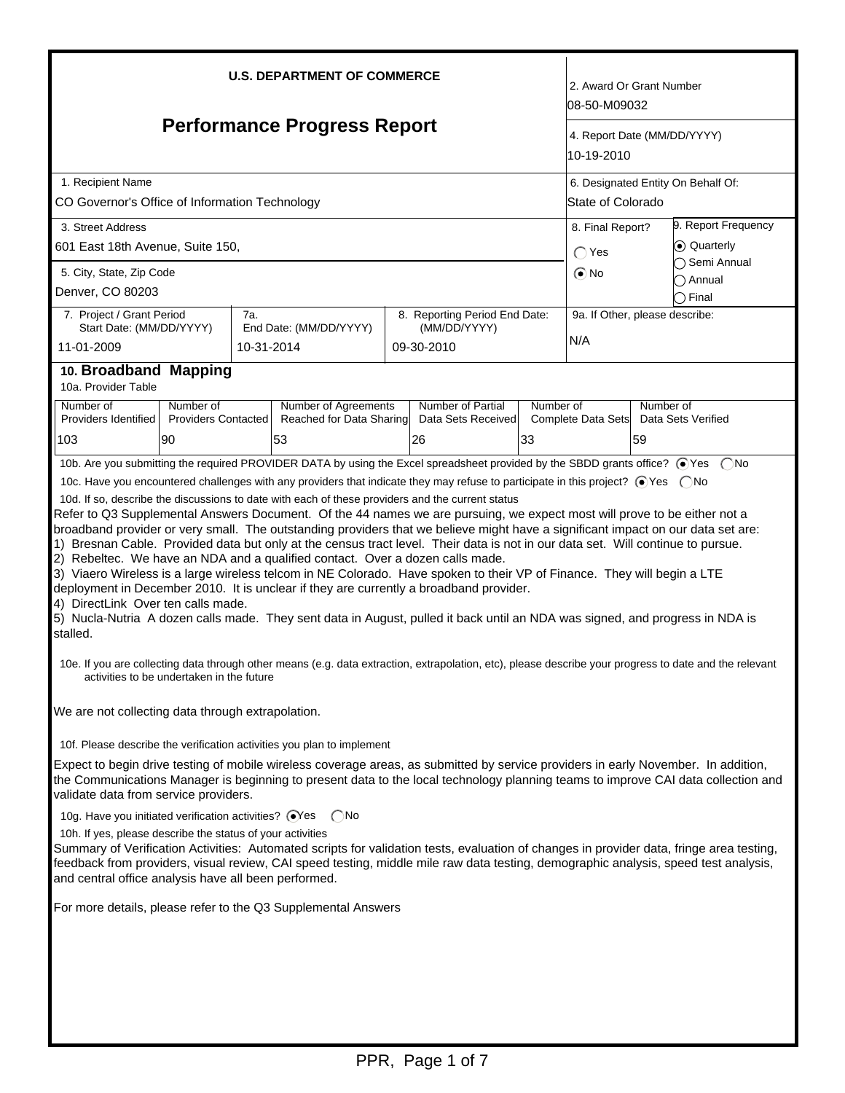| <b>U.S. DEPARTMENT OF COMMERCE</b>                                                                                                                                                                                                                                                                                                                                                                                                                                                                                                                                                                                                                                                                                                                                                                                                                                                      |                                         |            |                                                                                                                                                        |  |                                         |            |                                | 2. Award Or Grant Number<br>08-50-M09032                       |                       |  |
|-----------------------------------------------------------------------------------------------------------------------------------------------------------------------------------------------------------------------------------------------------------------------------------------------------------------------------------------------------------------------------------------------------------------------------------------------------------------------------------------------------------------------------------------------------------------------------------------------------------------------------------------------------------------------------------------------------------------------------------------------------------------------------------------------------------------------------------------------------------------------------------------|-----------------------------------------|------------|--------------------------------------------------------------------------------------------------------------------------------------------------------|--|-----------------------------------------|------------|--------------------------------|----------------------------------------------------------------|-----------------------|--|
| <b>Performance Progress Report</b>                                                                                                                                                                                                                                                                                                                                                                                                                                                                                                                                                                                                                                                                                                                                                                                                                                                      |                                         |            |                                                                                                                                                        |  |                                         | 10-19-2010 | 4. Report Date (MM/DD/YYYY)    |                                                                |                       |  |
| 1. Recipient Name<br>CO Governor's Office of Information Technology                                                                                                                                                                                                                                                                                                                                                                                                                                                                                                                                                                                                                                                                                                                                                                                                                     |                                         |            |                                                                                                                                                        |  |                                         |            |                                | 6. Designated Entity On Behalf Of:<br><b>State of Colorado</b> |                       |  |
| 3. Street Address                                                                                                                                                                                                                                                                                                                                                                                                                                                                                                                                                                                                                                                                                                                                                                                                                                                                       |                                         |            |                                                                                                                                                        |  |                                         |            |                                | 9. Report Frequency<br>8. Final Report?                        |                       |  |
| 601 East 18th Avenue, Suite 150,                                                                                                                                                                                                                                                                                                                                                                                                                                                                                                                                                                                                                                                                                                                                                                                                                                                        |                                         |            |                                                                                                                                                        |  |                                         |            | $\bigcap$ Yes                  |                                                                | ⊙ Quarterly           |  |
| 5. City, State, Zip Code                                                                                                                                                                                                                                                                                                                                                                                                                                                                                                                                                                                                                                                                                                                                                                                                                                                                |                                         |            |                                                                                                                                                        |  |                                         |            | $\odot$ No                     |                                                                | $\bigcap$ Semi Annual |  |
| Denver, CO 80203                                                                                                                                                                                                                                                                                                                                                                                                                                                                                                                                                                                                                                                                                                                                                                                                                                                                        |                                         |            |                                                                                                                                                        |  |                                         |            |                                |                                                                | ◯ Annual<br>つ Final   |  |
| 7. Project / Grant Period                                                                                                                                                                                                                                                                                                                                                                                                                                                                                                                                                                                                                                                                                                                                                                                                                                                               |                                         | 7a.        |                                                                                                                                                        |  | 8. Reporting Period End Date:           |            | 9a. If Other, please describe: |                                                                |                       |  |
| Start Date: (MM/DD/YYYY)<br>11-01-2009                                                                                                                                                                                                                                                                                                                                                                                                                                                                                                                                                                                                                                                                                                                                                                                                                                                  |                                         | 10-31-2014 | End Date: (MM/DD/YYYY)                                                                                                                                 |  | (MM/DD/YYYY)<br>09-30-2010              |            | N/A                            |                                                                |                       |  |
| 10. Broadband Mapping<br>10a. Provider Table                                                                                                                                                                                                                                                                                                                                                                                                                                                                                                                                                                                                                                                                                                                                                                                                                                            |                                         |            |                                                                                                                                                        |  |                                         |            |                                |                                                                |                       |  |
| Number of<br>Providers Identified                                                                                                                                                                                                                                                                                                                                                                                                                                                                                                                                                                                                                                                                                                                                                                                                                                                       | Number of<br><b>Providers Contacted</b> |            | Number of Agreements<br>Reached for Data Sharing                                                                                                       |  | Number of Partial<br>Data Sets Received | Number of  | Complete Data Sets             | Number of                                                      | Data Sets Verified    |  |
| 103                                                                                                                                                                                                                                                                                                                                                                                                                                                                                                                                                                                                                                                                                                                                                                                                                                                                                     | 90                                      |            | 53                                                                                                                                                     |  | 26                                      | 33         |                                | 59                                                             |                       |  |
|                                                                                                                                                                                                                                                                                                                                                                                                                                                                                                                                                                                                                                                                                                                                                                                                                                                                                         |                                         |            | 10b. Are you submitting the required PROVIDER DATA by using the Excel spreadsheet provided by the SBDD grants office? ⊙Yes (No                         |  |                                         |            |                                |                                                                |                       |  |
|                                                                                                                                                                                                                                                                                                                                                                                                                                                                                                                                                                                                                                                                                                                                                                                                                                                                                         |                                         |            | 10c. Have you encountered challenges with any providers that indicate they may refuse to participate in this project? ⊙Yes  ONo                        |  |                                         |            |                                |                                                                |                       |  |
| Refer to Q3 Supplemental Answers Document. Of the 44 names we are pursuing, we expect most will prove to be either not a<br>broadband provider or very small. The outstanding providers that we believe might have a significant impact on our data set are:<br>1) Bresnan Cable. Provided data but only at the census tract level. Their data is not in our data set. Will continue to pursue.<br>2) Rebeltec. We have an NDA and a qualified contact. Over a dozen calls made.<br>3) Viaero Wireless is a large wireless telcom in NE Colorado. Have spoken to their VP of Finance. They will begin a LTE<br>deployment in December 2010. It is unclear if they are currently a broadband provider.<br>4) DirectLink Over ten calls made.<br>5) Nucla-Nutria A dozen calls made. They sent data in August, pulled it back until an NDA was signed, and progress in NDA is<br>stalled. |                                         |            |                                                                                                                                                        |  |                                         |            |                                |                                                                |                       |  |
| activities to be undertaken in the future                                                                                                                                                                                                                                                                                                                                                                                                                                                                                                                                                                                                                                                                                                                                                                                                                                               |                                         |            | 10e. If you are collecting data through other means (e.g. data extraction, extrapolation, etc), please describe your progress to date and the relevant |  |                                         |            |                                |                                                                |                       |  |
| We are not collecting data through extrapolation.                                                                                                                                                                                                                                                                                                                                                                                                                                                                                                                                                                                                                                                                                                                                                                                                                                       |                                         |            |                                                                                                                                                        |  |                                         |            |                                |                                                                |                       |  |
|                                                                                                                                                                                                                                                                                                                                                                                                                                                                                                                                                                                                                                                                                                                                                                                                                                                                                         |                                         |            | 10f. Please describe the verification activities you plan to implement                                                                                 |  |                                         |            |                                |                                                                |                       |  |
| Expect to begin drive testing of mobile wireless coverage areas, as submitted by service providers in early November. In addition,<br>the Communications Manager is beginning to present data to the local technology planning teams to improve CAI data collection and<br>validate data from service providers.                                                                                                                                                                                                                                                                                                                                                                                                                                                                                                                                                                        |                                         |            |                                                                                                                                                        |  |                                         |            |                                |                                                                |                       |  |
| 10g. Have you initiated verification activities? @Yes CNo<br>10h. If yes, please describe the status of your activities<br>Summary of Verification Activities: Automated scripts for validation tests, evaluation of changes in provider data, fringe area testing,<br>feedback from providers, visual review, CAI speed testing, middle mile raw data testing, demographic analysis, speed test analysis,<br>and central office analysis have all been performed.<br>For more details, please refer to the Q3 Supplemental Answers                                                                                                                                                                                                                                                                                                                                                     |                                         |            |                                                                                                                                                        |  |                                         |            |                                |                                                                |                       |  |
|                                                                                                                                                                                                                                                                                                                                                                                                                                                                                                                                                                                                                                                                                                                                                                                                                                                                                         |                                         |            |                                                                                                                                                        |  |                                         |            |                                |                                                                |                       |  |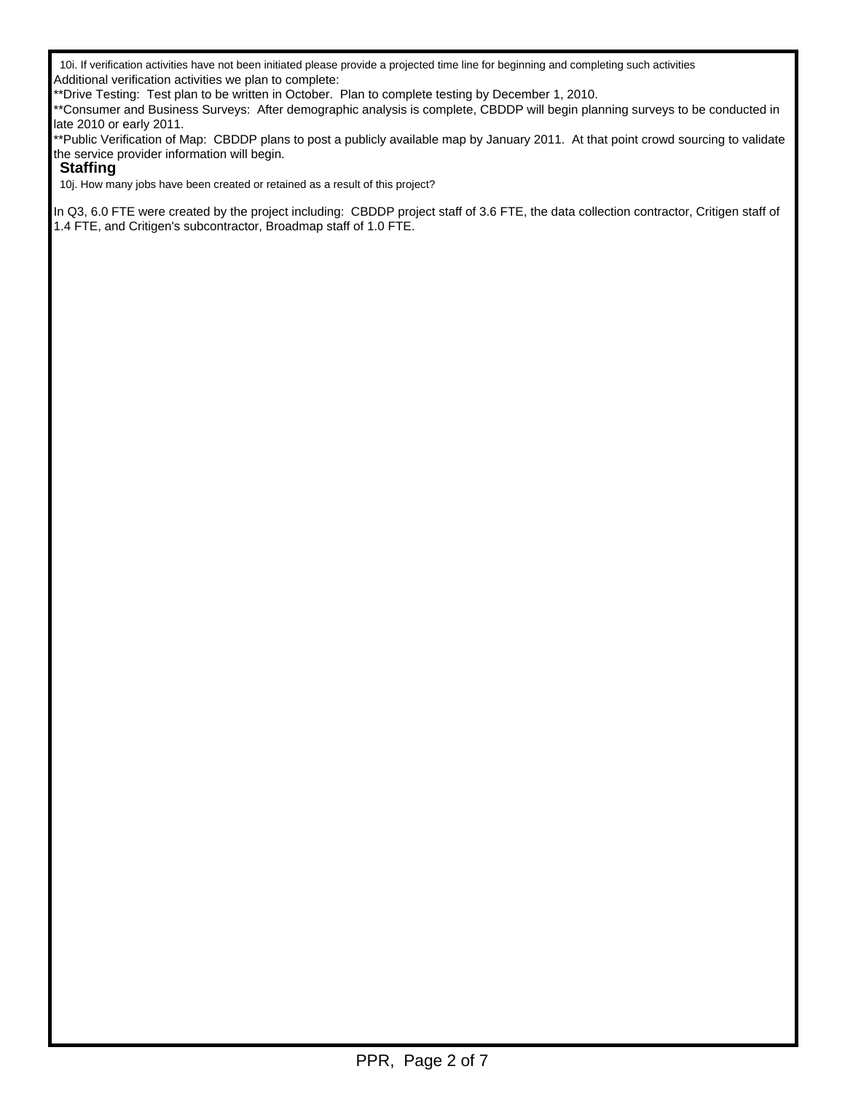10i. If verification activities have not been initiated please provide a projected time line for beginning and completing such activities Additional verification activities we plan to complete:

\*\*Drive Testing: Test plan to be written in October. Plan to complete testing by December 1, 2010.

\*\*Consumer and Business Surveys: After demographic analysis is complete, CBDDP will begin planning surveys to be conducted in late 2010 or early 2011.

\*\*Public Verification of Map: CBDDP plans to post a publicly available map by January 2011. At that point crowd sourcing to validate the service provider information will begin.

### **Staffing**

10j. How many jobs have been created or retained as a result of this project?

In Q3, 6.0 FTE were created by the project including: CBDDP project staff of 3.6 FTE, the data collection contractor, Critigen staff of 1.4 FTE, and Critigen's subcontractor, Broadmap staff of 1.0 FTE.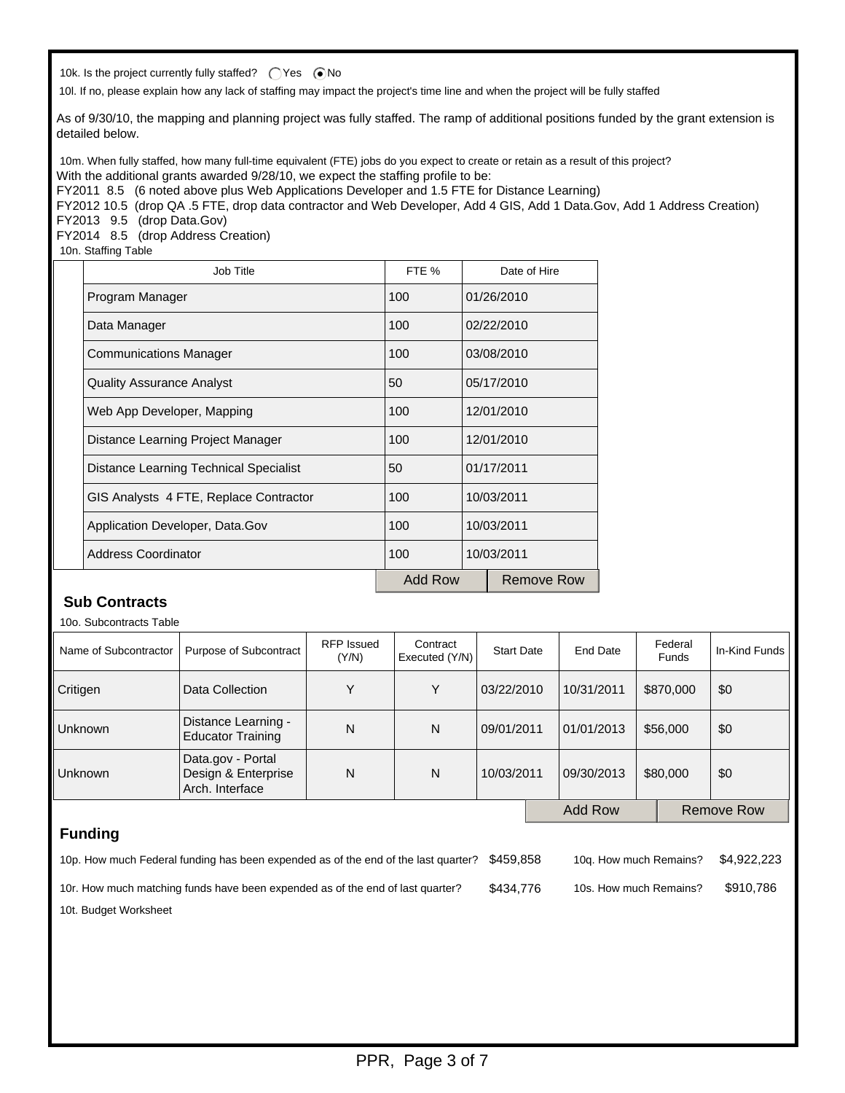10k. Is the project currently fully staffed?  $\bigcirc$  Yes  $\bigcirc$  No

10l. If no, please explain how any lack of staffing may impact the project's time line and when the project will be fully staffed

As of 9/30/10, the mapping and planning project was fully staffed. The ramp of additional positions funded by the grant extension is detailed below.

10m. When fully staffed, how many full-time equivalent (FTE) jobs do you expect to create or retain as a result of this project? With the additional grants awarded 9/28/10, we expect the staffing profile to be:

FY2011 8.5 (6 noted above plus Web Applications Developer and 1.5 FTE for Distance Learning)

FY2012 10.5 (drop QA .5 FTE, drop data contractor and Web Developer, Add 4 GIS, Add 1 Data.Gov, Add 1 Address Creation) FY2013 9.5 (drop Data.Gov)

FY2014 8.5 (drop Address Creation)

10n. Staffing Table

| Job Title                              | FTE %             |            | Date of Hire |  |
|----------------------------------------|-------------------|------------|--------------|--|
| Program Manager                        | 100               |            | 01/26/2010   |  |
| Data Manager                           | 100               |            | 02/22/2010   |  |
| <b>Communications Manager</b>          | 100               | 03/08/2010 |              |  |
| <b>Quality Assurance Analyst</b>       | 50                |            | 05/17/2010   |  |
| Web App Developer, Mapping             | 100<br>12/01/2010 |            |              |  |
| Distance Learning Project Manager      | 100               |            | 12/01/2010   |  |
| Distance Learning Technical Specialist | 50                |            | 01/17/2011   |  |
| GIS Analysts 4 FTE, Replace Contractor | 100<br>10/03/2011 |            |              |  |
| Application Developer, Data.Gov        | 100<br>10/03/2011 |            |              |  |
| <b>Address Coordinator</b>             | 100               | 10/03/2011 |              |  |
|                                        | Add Row           |            | Remove Row   |  |

## **Sub Contracts**

10o. Subcontracts Table

| Name of Subcontractor                                                         | Purpose of Subcontract                          | <b>RFP</b> Issued<br>(Y/N) | Contract<br>Executed (Y/N) | <b>Start Date</b> | End Date   | Federal<br><b>Funds</b> | In-Kind Funds     |
|-------------------------------------------------------------------------------|-------------------------------------------------|----------------------------|----------------------------|-------------------|------------|-------------------------|-------------------|
| Critigen                                                                      | Data Collection                                 | Y                          | Υ                          | 03/22/2010        | 10/31/2011 | \$870,000               | \$0               |
| <b>Unknown</b>                                                                | Distance Learning -<br><b>Educator Training</b> | N                          | N                          | 09/01/2011        | 01/01/2013 | \$56,000                | \$0               |
| Data.gov - Portal<br>Design & Enterprise<br><b>Unknown</b><br>Arch. Interface |                                                 | N                          | N                          | 10/03/2011        | 09/30/2013 | \$80,000                | \$0               |
|                                                                               |                                                 |                            |                            |                   | Add Row    |                         | <b>Remove Row</b> |

## **Funding**

| 10p. How much Federal funding has been expended as of the end of the last quarter? \$459.858 |           | 10g. How much Remains? | \$4.922.223 |
|----------------------------------------------------------------------------------------------|-----------|------------------------|-------------|
| 10r. How much matching funds have been expended as of the end of last quarter?               | \$434.776 | 10s. How much Remains? | \$910.786   |

10t. Budget Worksheet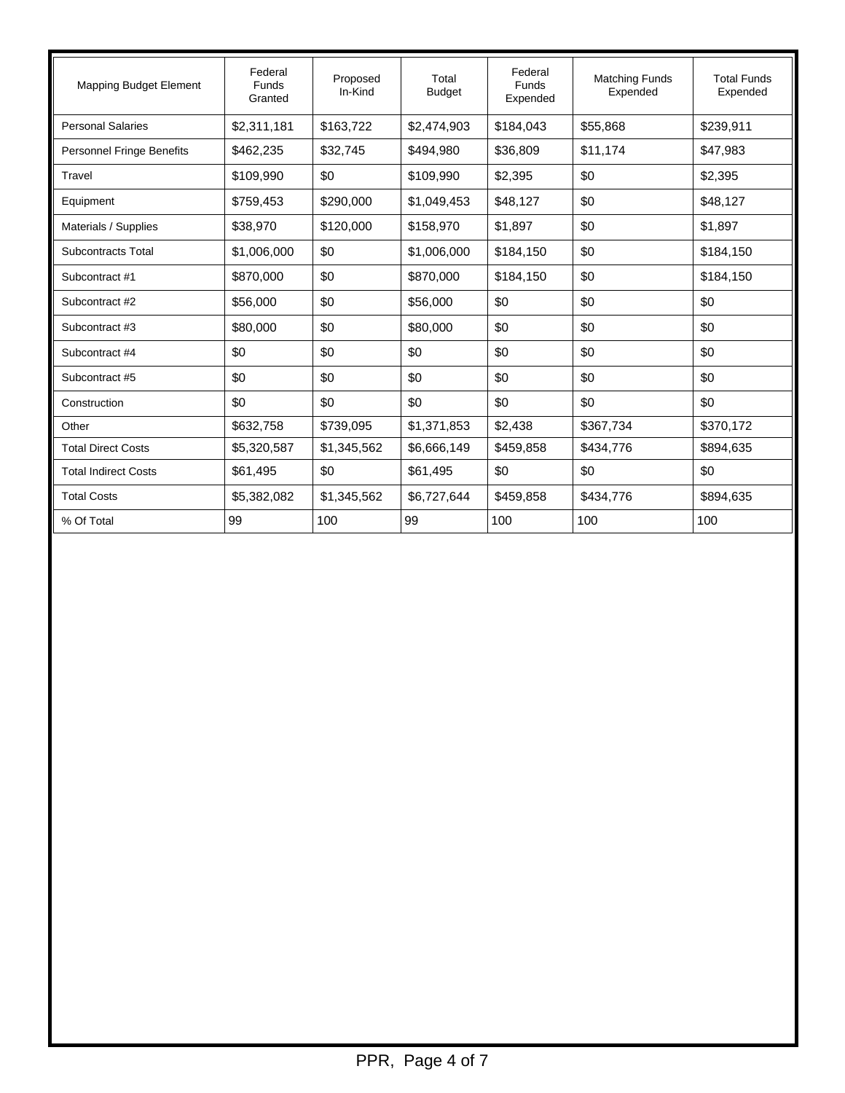| <b>Mapping Budget Element</b>    | Federal<br><b>Funds</b><br>Granted | Proposed<br>In-Kind | Total<br><b>Budget</b> | Federal<br>Funds<br>Expended | <b>Matching Funds</b><br>Expended | <b>Total Funds</b><br>Expended |
|----------------------------------|------------------------------------|---------------------|------------------------|------------------------------|-----------------------------------|--------------------------------|
| <b>Personal Salaries</b>         | \$2,311,181                        | \$163,722           | \$2,474,903            | \$184.043                    | \$55,868                          | \$239,911                      |
| <b>Personnel Fringe Benefits</b> | \$462,235                          | \$32,745            | \$494,980              | \$36,809                     | \$11,174                          | \$47,983                       |
| Travel                           | \$109,990                          | \$0                 | \$109,990              | \$2,395                      | \$0                               | \$2,395                        |
| Equipment                        | \$759,453                          | \$290,000           | \$1,049,453            | \$48,127                     | \$0                               | \$48,127                       |
| Materials / Supplies             | \$38,970                           | \$120,000           | \$158,970              | \$1,897                      | \$0                               | \$1,897                        |
| <b>Subcontracts Total</b>        | \$1,006,000                        | \$0                 | \$1,006,000            | \$184,150                    | \$0                               | \$184,150                      |
| Subcontract #1                   | \$870,000                          | \$0                 | \$870,000              | \$184,150                    | \$0                               | \$184,150                      |
| Subcontract #2                   | \$56,000                           | \$0                 | \$56,000               | \$0                          | \$0                               | \$0                            |
| Subcontract #3                   | \$80,000                           | \$0                 | \$80,000               | \$0                          | \$0                               | \$0                            |
| Subcontract #4                   | \$0                                | \$0                 | \$0                    | \$0                          | \$0                               | \$0                            |
| Subcontract #5                   | \$0                                | \$0                 | \$0                    | \$0                          | \$0                               | \$0                            |
| Construction                     | \$0                                | \$0                 | \$0                    | \$0                          | \$0                               | \$0                            |
| Other                            | \$632,758                          | \$739,095           | \$1,371,853            | \$2,438                      | \$367,734                         | \$370,172                      |
| <b>Total Direct Costs</b>        | \$5,320,587                        | \$1,345,562         | \$6,666,149            | \$459,858                    | \$434,776                         | \$894,635                      |
| <b>Total Indirect Costs</b>      | \$61,495                           | \$0                 | \$61,495               | \$0                          | \$0                               | \$0                            |
| <b>Total Costs</b>               | \$5,382,082                        | \$1,345,562         | \$6,727,644            | \$459,858                    | \$434,776                         | \$894,635                      |
| % Of Total                       | 99                                 | 100                 | 99                     | 100                          | 100                               | 100                            |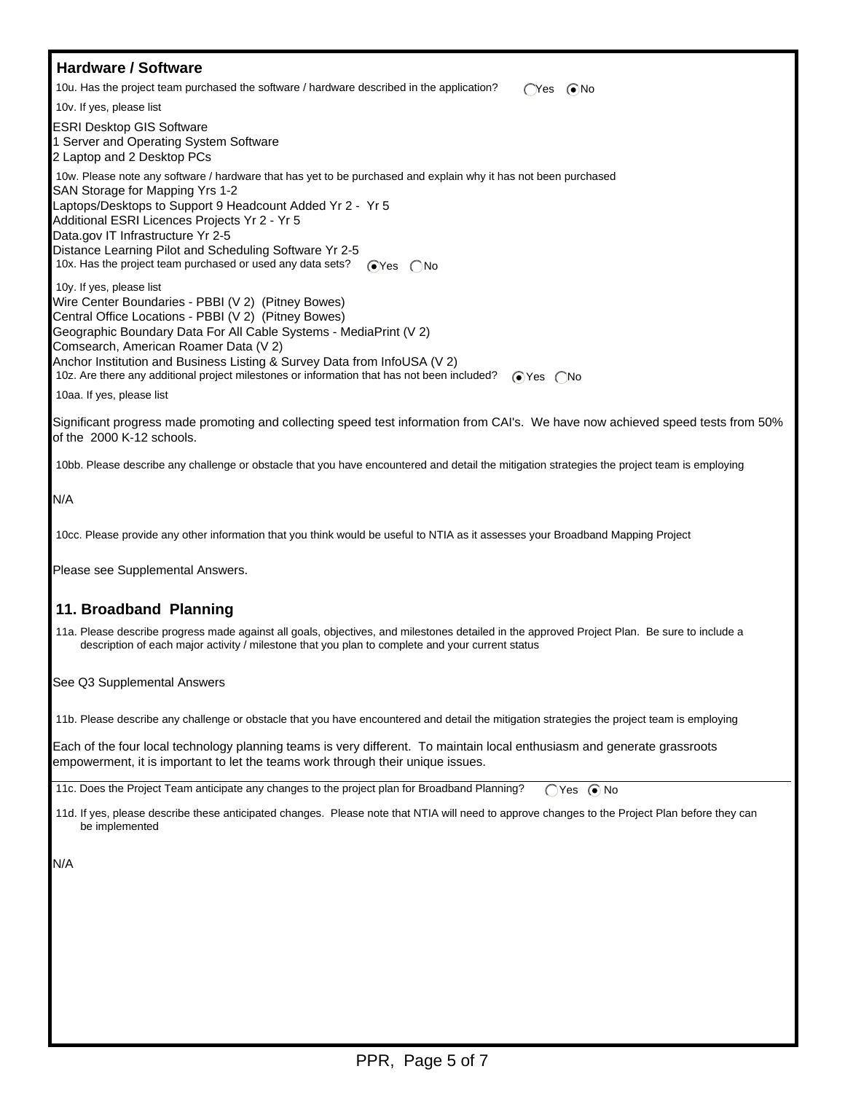#### **Hardware / Software** 10u. Has the project team purchased the software / hardware described in the application?  $\bigcap$ Yes  $\bigcirc$ No 10v. If yes, please list ESRI Desktop GIS Software 1 Server and Operating System Software 2 Laptop and 2 Desktop PCs 10w. Please note any software / hardware that has yet to be purchased and explain why it has not been purchased SAN Storage for Mapping Yrs 1-2 Laptops/Desktops to Support 9 Headcount Added Yr 2 - Yr 5 Additional ESRI Licences Projects Yr 2 - Yr 5 Data.gov IT Infrastructure Yr 2-5 Distance Learning Pilot and Scheduling Software Yr 2-5 10x. Has the project team purchased or used any data sets?  $\bigcirc$ Yes  $\bigcirc$ No 10y. If yes, please list Wire Center Boundaries - PBBI (V 2) (Pitney Bowes) Central Office Locations - PBBI (V 2) (Pitney Bowes) Geographic Boundary Data For All Cable Systems - MediaPrint (V 2) Comsearch, American Roamer Data (V 2) Anchor Institution and Business Listing & Survey Data from InfoUSA (V 2) 10z. Are there any additional project milestones or information that has not been included? <br>
The Yes  $\bigcap$ No 10aa. If yes, please list

Significant progress made promoting and collecting speed test information from CAI's. We have now achieved speed tests from 50% of the 2000 K-12 schools.

10bb. Please describe any challenge or obstacle that you have encountered and detail the mitigation strategies the project team is employing

N/A

10cc. Please provide any other information that you think would be useful to NTIA as it assesses your Broadband Mapping Project

Please see Supplemental Answers.

### **11. Broadband Planning**

 11a. Please describe progress made against all goals, objectives, and milestones detailed in the approved Project Plan. Be sure to include a description of each major activity / milestone that you plan to complete and your current status

See Q3 Supplemental Answers

11b. Please describe any challenge or obstacle that you have encountered and detail the mitigation strategies the project team is employing

Each of the four local technology planning teams is very different. To maintain local enthusiasm and generate grassroots empowerment, it is important to let the teams work through their unique issues.

11c. Does the Project Team anticipate any changes to the project plan for Broadband Planning? Yes No

 11d. If yes, please describe these anticipated changes. Please note that NTIA will need to approve changes to the Project Plan before they can be implemented

N/A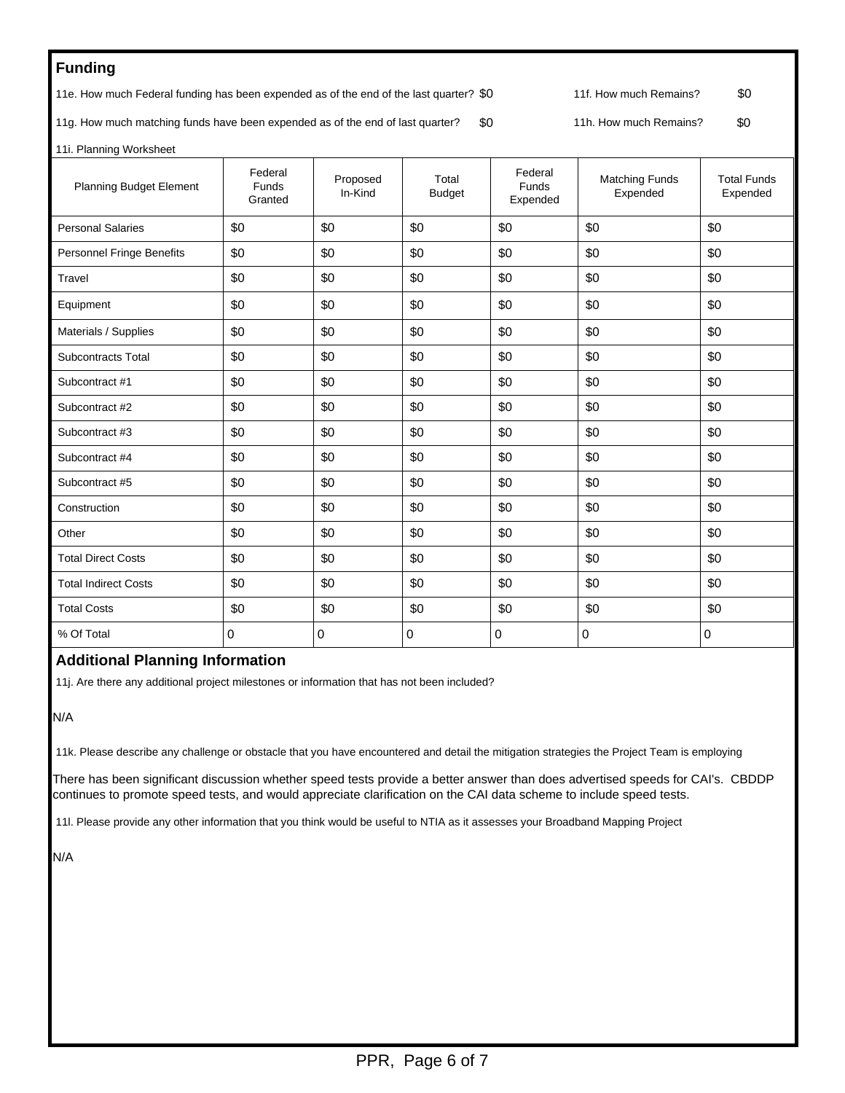# **Funding**

11e. How much Federal funding has been expended as of the end of the last quarter? \$0 11f. How much Remains? \$0

11g. How much matching funds have been expended as of the end of last quarter? \$0 11h. How much Remains? \$0

11i. Planning Worksheet

| <b>Planning Budget Element</b>   | Federal<br>Funds<br>Granted | Proposed<br>In-Kind | Total<br><b>Budget</b> | Federal<br>Funds<br>Expended | <b>Matching Funds</b><br>Expended | <b>Total Funds</b><br>Expended |
|----------------------------------|-----------------------------|---------------------|------------------------|------------------------------|-----------------------------------|--------------------------------|
| <b>Personal Salaries</b>         | \$0                         | \$0                 | \$0                    | \$0                          | \$0                               | \$0                            |
| <b>Personnel Fringe Benefits</b> | \$0                         | \$0                 | \$0                    | \$0                          | \$0                               | \$0                            |
| Travel                           | \$0                         | \$0                 | \$0                    | \$0                          | \$0                               | \$0                            |
| Equipment                        | \$0                         | \$0                 | \$0                    | \$0                          | \$0                               | \$0                            |
| Materials / Supplies             | \$0                         | \$0                 | \$0                    | \$0                          | \$0                               | \$0                            |
| <b>Subcontracts Total</b>        | \$0                         | \$0                 | \$0                    | \$0                          | \$0                               | \$0                            |
| Subcontract #1                   | \$0                         | \$0                 | \$0                    | \$0                          | \$0                               | \$0                            |
| Subcontract #2                   | \$0                         | \$0                 | \$0                    | \$0                          | \$0                               | \$0                            |
| Subcontract #3                   | \$0                         | \$0                 | \$0                    | \$0                          | \$0                               | \$0                            |
| Subcontract #4                   | \$0                         | \$0                 | \$0                    | \$0                          | \$0                               | \$0                            |
| Subcontract #5                   | \$0                         | \$0                 | \$0                    | \$0                          | \$0                               | \$0                            |
| Construction                     | \$0                         | \$0                 | \$0                    | \$0                          | \$0                               | \$0                            |
| Other                            | \$0                         | \$0                 | \$0                    | \$0                          | \$0                               | \$0                            |
| <b>Total Direct Costs</b>        | \$0                         | \$0                 | \$0                    | \$0                          | \$0                               | \$0                            |
| <b>Total Indirect Costs</b>      | \$0                         | \$0                 | \$0                    | \$0                          | \$0                               | \$0                            |
| <b>Total Costs</b>               | \$0                         | \$0                 | \$0                    | \$0                          | \$0                               | \$0                            |
| % Of Total                       | 0                           | $\Omega$            | 0                      | $\Omega$                     | $\mathbf 0$                       | 0                              |

### **Additional Planning Information**

11j. Are there any additional project milestones or information that has not been included?

N/A

11k. Please describe any challenge or obstacle that you have encountered and detail the mitigation strategies the Project Team is employing

There has been significant discussion whether speed tests provide a better answer than does advertised speeds for CAI's. CBDDP continues to promote speed tests, and would appreciate clarification on the CAI data scheme to include speed tests.

11l. Please provide any other information that you think would be useful to NTIA as it assesses your Broadband Mapping Project

N/A